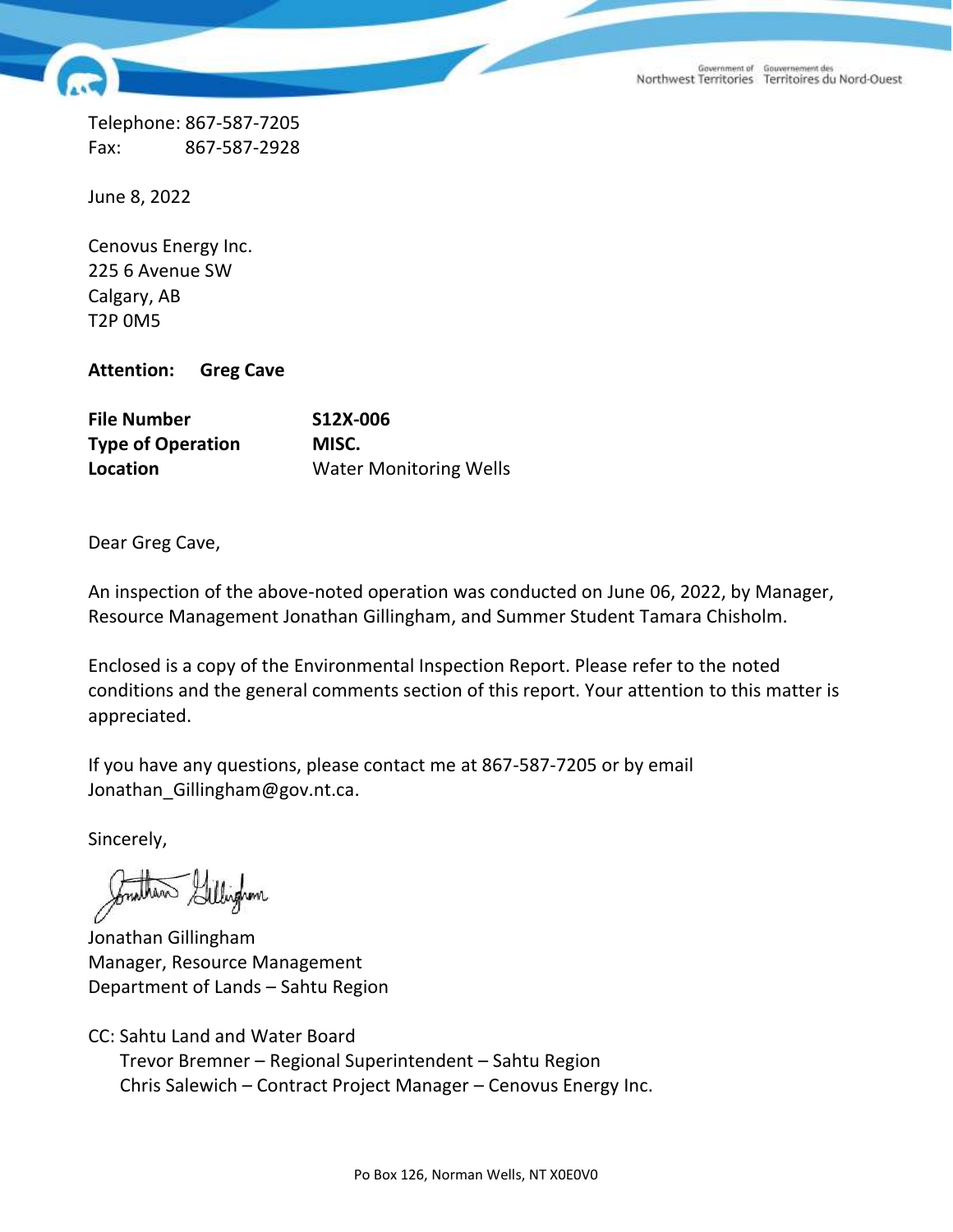Government of Gouvernement des<br>Northwest Territories Territoires du Nord-Ouest

Telephone: 867-587-7205 Fax: 867-587-2928

June 8, 2022

Cenovus Energy Inc. 225 6 Avenue SW Calgary, AB T2P 0M5

**Attention: Greg Cave**

| <b>File Number</b>       | S12X-006                      |  |
|--------------------------|-------------------------------|--|
| <b>Type of Operation</b> | MISC.                         |  |
| Location                 | <b>Water Monitoring Wells</b> |  |

Dear Greg Cave,

An inspection of the above-noted operation was conducted on June 06, 2022, by Manager, Resource Management Jonathan Gillingham, and Summer Student Tamara Chisholm.

Enclosed is a copy of the Environmental Inspection Report. Please refer to the noted conditions and the general comments section of this report. Your attention to this matter is appreciated.

If you have any questions, please contact me at 867-587-7205 or by email Jonathan Gillingham@gov.nt.ca.

Sincerely,

Jonathan Gillingham Manager, Resource Management Department of Lands – Sahtu Region

CC: Sahtu Land and Water Board Trevor Bremner – Regional Superintendent – Sahtu Region Chris Salewich – Contract Project Manager – Cenovus Energy Inc.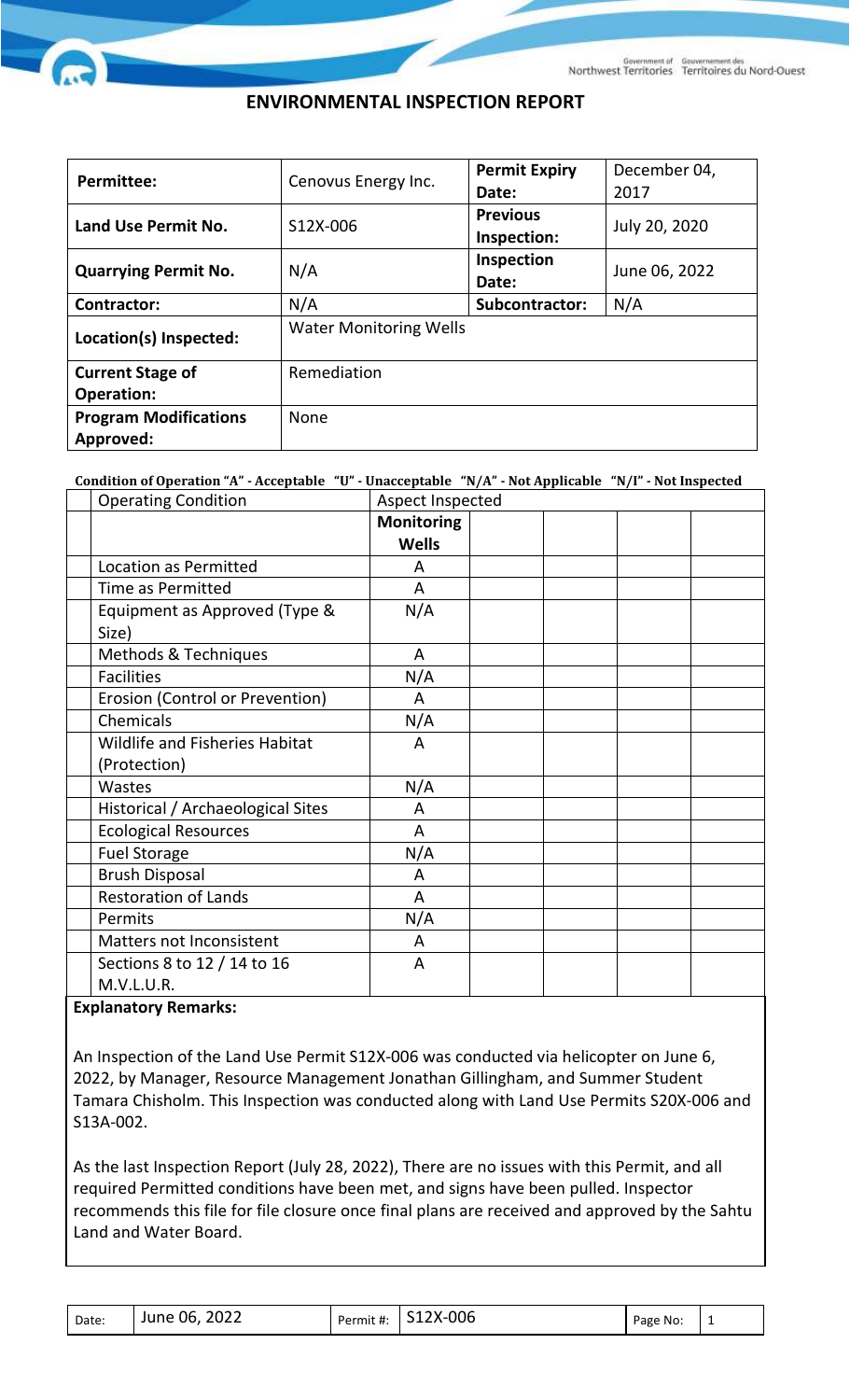## **ENVIRONMENTAL INSPECTION REPORT**

| <b>Permittee:</b>            | Cenovus Energy Inc.           | <b>Permit Expiry</b> | December 04,  |  |
|------------------------------|-------------------------------|----------------------|---------------|--|
|                              |                               | Date:                | 2017          |  |
| Land Use Permit No.          | S12X-006                      | <b>Previous</b>      | July 20, 2020 |  |
|                              |                               | Inspection:          |               |  |
|                              | N/A                           | Inspection           | June 06, 2022 |  |
| <b>Quarrying Permit No.</b>  |                               | Date:                |               |  |
| <b>Contractor:</b>           | N/A                           | Subcontractor:       | N/A           |  |
| Location(s) Inspected:       | <b>Water Monitoring Wells</b> |                      |               |  |
| <b>Current Stage of</b>      | Remediation                   |                      |               |  |
| <b>Operation:</b>            |                               |                      |               |  |
| <b>Program Modifications</b> | None                          |                      |               |  |
| Approved:                    |                               |                      |               |  |

**Condition of Operation "A" - Acceptable "U" - Unacceptable "N/A" - Not Applicable "N/I" - Not Inspected**

| <b>Operating Condition</b>            | Aspect Inspected                  |  |  |  |  |
|---------------------------------------|-----------------------------------|--|--|--|--|
|                                       | <b>Monitoring</b><br><b>Wells</b> |  |  |  |  |
| <b>Location as Permitted</b>          | A                                 |  |  |  |  |
| Time as Permitted                     | A                                 |  |  |  |  |
| Equipment as Approved (Type &         | N/A                               |  |  |  |  |
| Size)                                 |                                   |  |  |  |  |
| <b>Methods &amp; Techniques</b>       | A                                 |  |  |  |  |
| <b>Facilities</b>                     | N/A                               |  |  |  |  |
| Erosion (Control or Prevention)       | A                                 |  |  |  |  |
| Chemicals                             | N/A                               |  |  |  |  |
| <b>Wildlife and Fisheries Habitat</b> | A                                 |  |  |  |  |
| (Protection)                          |                                   |  |  |  |  |
| Wastes                                | N/A                               |  |  |  |  |
| Historical / Archaeological Sites     | A                                 |  |  |  |  |
| <b>Ecological Resources</b>           | A                                 |  |  |  |  |
| <b>Fuel Storage</b>                   | N/A                               |  |  |  |  |
| <b>Brush Disposal</b>                 | A                                 |  |  |  |  |
| <b>Restoration of Lands</b>           | A                                 |  |  |  |  |
| Permits                               | N/A                               |  |  |  |  |
| Matters not Inconsistent              | A                                 |  |  |  |  |
| Sections 8 to 12 / 14 to 16           | A                                 |  |  |  |  |
| M.V.L.U.R.                            |                                   |  |  |  |  |

#### **Explanatory Remarks:**

An Inspection of the Land Use Permit S12X-006 was conducted via helicopter on June 6, 2022, by Manager, Resource Management Jonathan Gillingham, and Summer Student Tamara Chisholm. This Inspection was conducted along with Land Use Permits S20X-006 and S13A-002.

As the last Inspection Report (July 28, 2022), There are no issues with this Permit, and all required Permitted conditions have been met, and signs have been pulled. Inspector recommends this file for file closure once final plans are received and approved by the Sahtu Land and Water Board.

| Date: | 2022<br>June 06, | Permit #: | S12X-006 | Page No: |  |
|-------|------------------|-----------|----------|----------|--|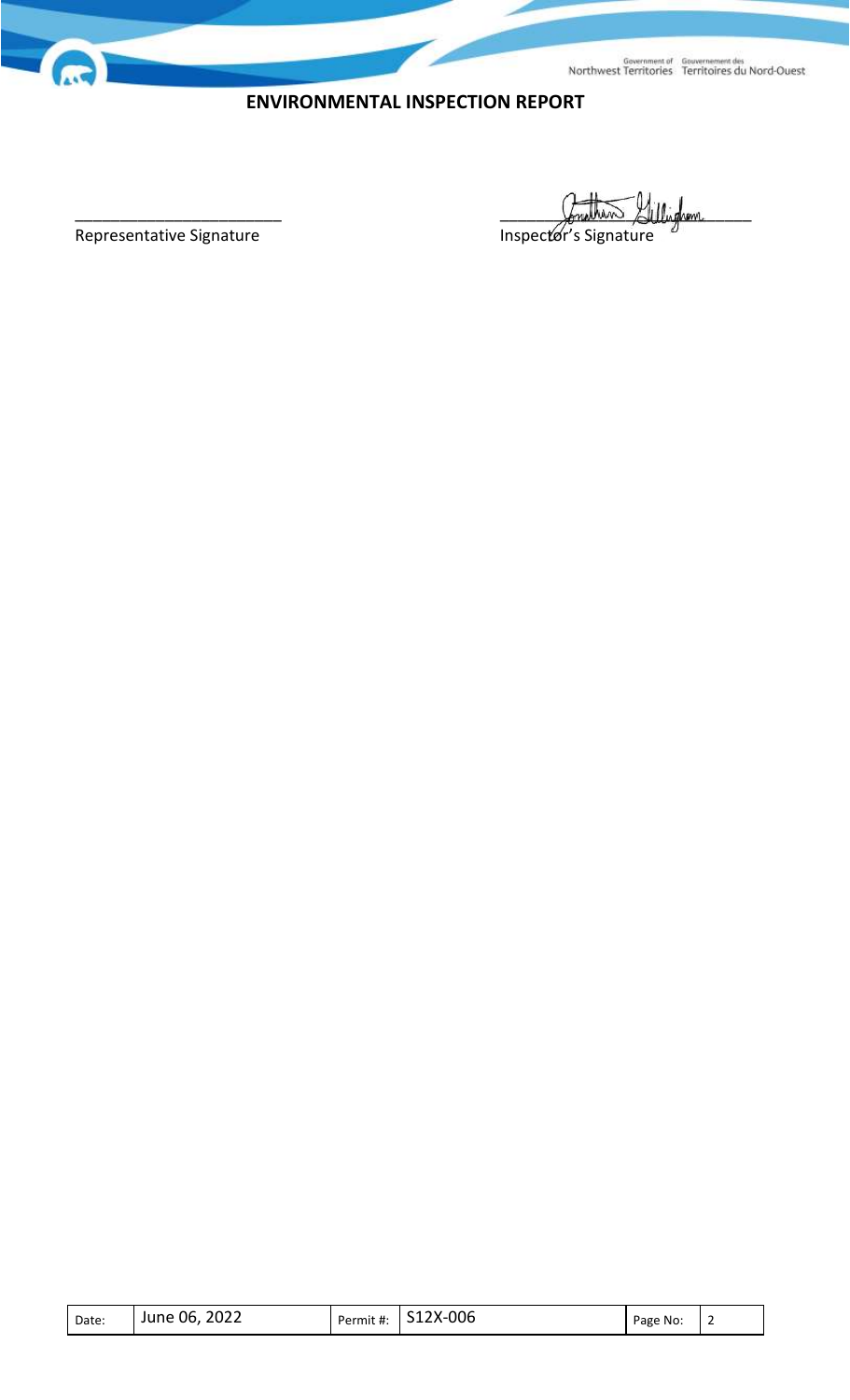Government of Gouvernement des<br>Northwest Territories Territoires du Nord-Ouest

## **ENVIRONMENTAL INSPECTION REPORT**

Representative Signature

Under Signature

Date: June 06, 2022 Permit #: S12X-006 Page No: 2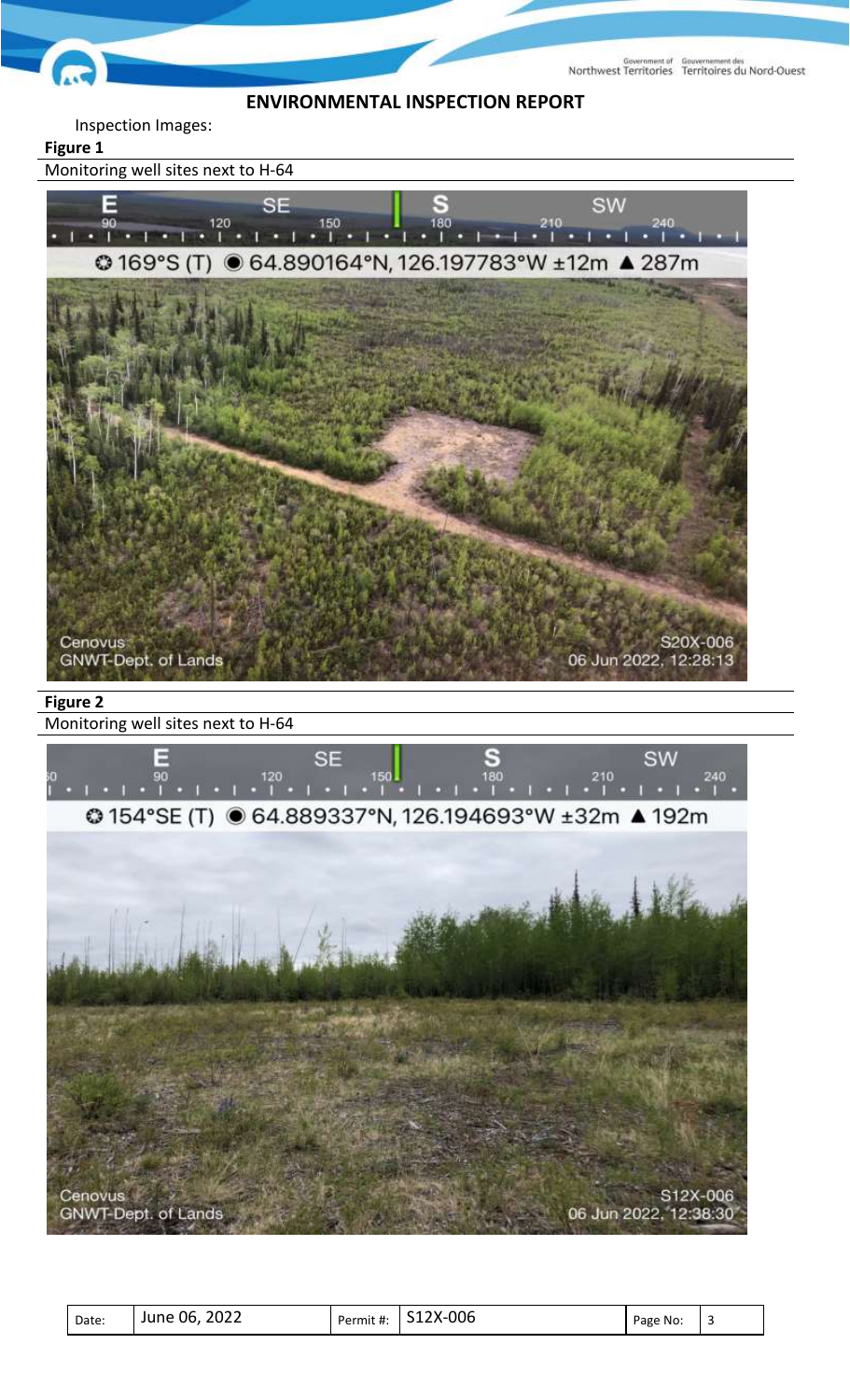$\Omega$ Northwest Territories Territoires du Nord-Ouest **ENVIRONMENTAL INSPECTION REPORT**

Inspection Images:

### **Figure 1**

Monitoring well sites next to H-64



# Monitoring well sites next to H-64



| Date: | 2022<br>J6.<br>June | Permit #: | S12X-006 | Page No: |  |
|-------|---------------------|-----------|----------|----------|--|
|-------|---------------------|-----------|----------|----------|--|